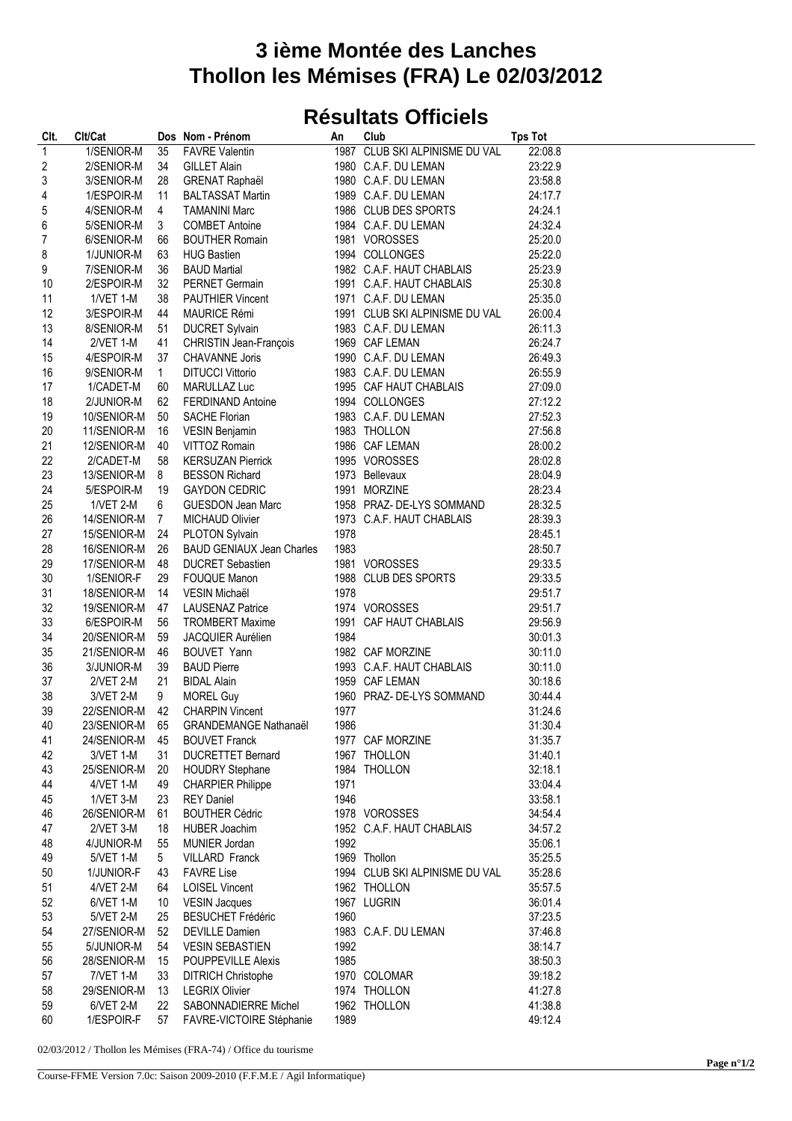## **3 ième Montée des Lanches Thollon les Mémises (FRA) Le 02/03/2012**

## **Résultats Officiels**

| Clt.             | Clt/Cat          |                | Dos Nom - Prénom                     | An   | Club                           | <b>Tps Tot</b> |
|------------------|------------------|----------------|--------------------------------------|------|--------------------------------|----------------|
| $\overline{1}$   | 1/SENIOR-M       | 35             | <b>FAVRE Valentin</b>                |      | 1987 CLUB SKI ALPINISME DU VAL | 22:08.8        |
| $\overline{c}$   | 2/SENIOR-M       | 34             | <b>GILLET Alain</b>                  |      | 1980 C.A.F. DU LEMAN           | 23:22.9        |
| 3                | 3/SENIOR-M       | 28             | <b>GRENAT Raphaël</b>                |      | 1980 C.A.F. DU LEMAN           | 23:58.8        |
| 4                | 1/ESPOIR-M       | 11             | <b>BALTASSAT Martin</b>              |      | 1989 C.A.F. DU LEMAN           | 24:17.7        |
| 5                | 4/SENIOR-M       | 4              | <b>TAMANINI Marc</b>                 |      | 1986 CLUB DES SPORTS           | 24:24.1        |
| 6                | 5/SENIOR-M       | 3              | <b>COMBET Antoine</b>                |      | 1984 C.A.F. DU LEMAN           | 24:32.4        |
| $\boldsymbol{7}$ | 6/SENIOR-M       | 66             | <b>BOUTHER Romain</b>                |      | 1981 VOROSSES                  | 25:20.0        |
| 8                | 1/JUNIOR-M       | 63             | <b>HUG Bastien</b>                   |      | 1994 COLLONGES                 | 25:22.0        |
| 9                | 7/SENIOR-M       | 36             | <b>BAUD Martial</b>                  |      | 1982 C.A.F. HAUT CHABLAIS      | 25:23.9        |
| 10               | 2/ESPOIR-M       | 32             | PERNET Germain                       |      | 1991 C.A.F. HAUT CHABLAIS      | 25:30.8        |
| 11               | 1/VET 1-M        | 38             | <b>PAUTHIER Vincent</b>              |      | 1971 C.A.F. DU LEMAN           | 25:35.0        |
| 12               | 3/ESPOIR-M       | 44             | <b>MAURICE Rémi</b>                  |      | 1991 CLUB SKI ALPINISME DU VAL | 26:00.4        |
| 13               | 8/SENIOR-M       | 51             | <b>DUCRET Sylvain</b>                |      | 1983 C.A.F. DU LEMAN           | 26:11.3        |
| 14               | 2/VET 1-M        | 41             | CHRISTIN Jean-François               |      | 1969 CAF LEMAN                 | 26:24.7        |
| 15               | 4/ESPOIR-M       | 37             | CHAVANNE Joris                       |      | 1990 C.A.F. DU LEMAN           | 26:49.3        |
| 16               | 9/SENIOR-M       | $\mathbf{1}$   | <b>DITUCCI Vittorio</b>              |      | 1983 C.A.F. DU LEMAN           | 26:55.9        |
| 17               | 1/CADET-M        | 60             | MARULLAZ Luc                         |      | 1995 CAF HAUT CHABLAIS         | 27:09.0        |
| 18               | 2/JUNIOR-M       | 62             | <b>FERDINAND Antoine</b>             |      | 1994 COLLONGES                 | 27:12.2        |
| 19               | 10/SENIOR-M      | 50             | <b>SACHE Florian</b>                 |      | 1983 C.A.F. DU LEMAN           | 27:52.3        |
| 20               | 11/SENIOR-M      | 16             | <b>VESIN Benjamin</b>                |      | 1983 THOLLON                   | 27:56.8        |
| 21               | 12/SENIOR-M      | 40             | VITTOZ Romain                        |      | 1986 CAF LEMAN                 | 28:00.2        |
| 22               | 2/CADET-M        | 58             | <b>KERSUZAN Pierrick</b>             |      | 1995 VOROSSES                  | 28:02.8        |
| 23               | 13/SENIOR-M      | 8              | <b>BESSON Richard</b>                |      | 1973 Bellevaux                 | 28:04.9        |
| 24               | 5/ESPOIR-M       | 19             | <b>GAYDON CEDRIC</b>                 |      | 1991 MORZINE                   | 28:23.4        |
| 25               | 1/VET 2-M        | 6              | GUESDON Jean Marc                    |      | 1958 PRAZ- DE-LYS SOMMAND      | 28:32.5        |
| 26               | 14/SENIOR-M      | $\overline{7}$ | <b>MICHAUD Olivier</b>               |      | 1973 C.A.F. HAUT CHABLAIS      | 28:39.3        |
| 27               | 15/SENIOR-M      | - 24           | PLOTON Sylvain                       | 1978 |                                | 28:45.1        |
| 28               | 16/SENIOR-M      | 26             | <b>BAUD GENIAUX Jean Charles</b>     | 1983 |                                | 28:50.7        |
| 29               | 17/SENIOR-M      | 48             | <b>DUCRET Sebastien</b>              |      | 1981 VOROSSES                  | 29:33.5        |
| 30               | 1/SENIOR-F       | 29             | <b>FOUQUE Manon</b>                  |      | 1988 CLUB DES SPORTS           | 29:33.5        |
| 31               | 18/SENIOR-M      | 14             | VESIN Michaël                        | 1978 |                                | 29:51.7        |
| 32               | 19/SENIOR-M      | 47             | <b>LAUSENAZ Patrice</b>              |      | 1974 VOROSSES                  | 29:51.7        |
| 33               | 6/ESPOIR-M       | 56             | <b>TROMBERT Maxime</b>               |      | 1991 CAF HAUT CHABLAIS         | 29:56.9        |
| 34               | 20/SENIOR-M      | 59             | <b>JACQUIER Aurélien</b>             | 1984 |                                | 30:01.3        |
| 35               | 21/SENIOR-M      | 46             | BOUVET Yann                          |      | 1982 CAF MORZINE               | 30:11.0        |
| 36               | 3/JUNIOR-M       | 39             | <b>BAUD Pierre</b>                   |      | 1993 C.A.F. HAUT CHABLAIS      | 30:11.0        |
| 37               | 2/VET 2-M        | 21             | <b>BIDAL Alain</b>                   |      | 1959 CAF LEMAN                 | 30:18.6        |
| 38               | 3/VET 2-M        | 9              | <b>MOREL Guy</b>                     |      | 1960 PRAZ- DE-LYS SOMMAND      | 30:44.4        |
| 39               | 22/SENIOR-M 42   |                | <b>CHARPIN Vincent</b>               | 1977 |                                | 31:24.6        |
| 40               |                  |                | 23/SENIOR-M 65 GRANDEMANGE Nathanaël | 1986 |                                | 31:30.4        |
| 41               | 24/SENIOR-M      | 45             | <b>BOUVET Franck</b>                 |      | 1977 CAF MORZINE               | 31:35.7        |
| 42               | 3/VET 1-M        | 31             | <b>DUCRETTET Bernard</b>             |      | 1967 THOLLON                   | 31:40.1        |
| 43               | 25/SENIOR-M      | 20             | <b>HOUDRY Stephane</b>               |      | 1984 THOLLON                   | 32:18.1        |
| 44               | 4/VET 1-M        | 49             | <b>CHARPIER Philippe</b>             | 1971 |                                | 33:04.4        |
| 45               | 1/VET 3-M        | 23             | <b>REY Daniel</b>                    | 1946 |                                | 33:58.1        |
| 46               | 26/SENIOR-M      | 61             | <b>BOUTHER Cédric</b>                |      | 1978 VOROSSES                  | 34:54.4        |
| 47               | 2/VET 3-M        | 18             | HUBER Joachim                        |      | 1952 C.A.F. HAUT CHABLAIS      | 34:57.2        |
| 48               | 4/JUNIOR-M       | 55             | MUNIER Jordan                        | 1992 |                                | 35:06.1        |
| 49               | 5/VET 1-M        | 5              | <b>VILLARD Franck</b>                |      | 1969 Thollon                   | 35:25.5        |
| 50               | 1/JUNIOR-F       | 43             | <b>FAVRE Lise</b>                    |      | 1994 CLUB SKI ALPINISME DU VAL | 35:28.6        |
| 51               | 4/VET 2-M        | 64             | <b>LOISEL Vincent</b>                |      | 1962 THOLLON                   | 35:57.5        |
| 52               | 6/VET 1-M        | 10             | <b>VESIN Jacques</b>                 |      | 1967 LUGRIN                    | 36:01.4        |
| 53               | 5/VET 2-M        | 25             | <b>BESUCHET Frédéric</b>             | 1960 |                                | 37:23.5        |
| 54               | 27/SENIOR-M      | 52             | <b>DEVILLE Damien</b>                |      | 1983 C.A.F. DU LEMAN           | 37:46.8        |
| 55               | 5/JUNIOR-M       | 54             | <b>VESIN SEBASTIEN</b>               | 1992 |                                | 38:14.7        |
| 56               | 28/SENIOR-M      | 15             | <b>POUPPEVILLE Alexis</b>            | 1985 |                                | 38:50.3        |
| 57               | <b>7/VET 1-M</b> | 33             | <b>DITRICH Christophe</b>            |      | 1970 COLOMAR                   | 39:18.2        |
| 58               | 29/SENIOR-M      | 13             | <b>LEGRIX Olivier</b>                |      | 1974 THOLLON                   | 41:27.8        |
| 59               | 6/VET 2-M        | 22             | SABONNADIERRE Michel                 |      | 1962 THOLLON                   | 41:38.8        |
| 60               | 1/ESPOIR-F       | 57             | FAVRE-VICTOIRE Stéphanie             | 1989 |                                | 49:12.4        |
|                  |                  |                |                                      |      |                                |                |

02/03/2012 / Thollon les Mémises (FRA-74) / Office du tourisme